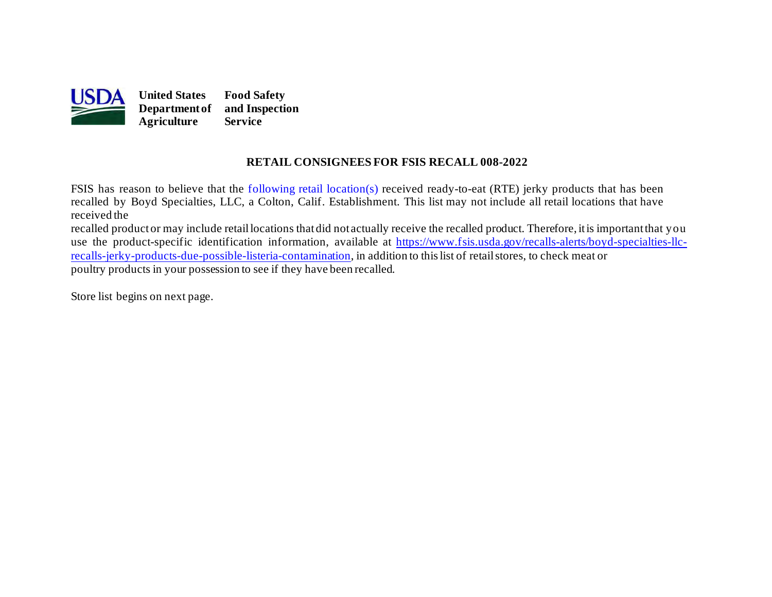

# **RETAIL CONSIGNEES FOR FSIS RECALL 008-2022**

FSIS has reason to believe that the [following retail location\(s\)](#page-1-0) received ready-to-eat (RTE) jerky products that has been recalled by Boyd Specialties, LLC, a Colton, Calif. Establishment. This list may not include all retail locations that have received the

 recalled productor may include retaillocations thatdid not actually receive the recalled product. Therefore, itis importantthat you [recalls-jerky-products-due-possible-listeria-contamination](https://www.fsis.usda.gov/recalls-alerts/boyd-specialties-llc-recalls-jerky-products-due-possible-listeria-contamination), in addition to this list of retail stores, to check meat or use the product-specific identification information, available at [https://www.fsis.usda.gov/recalls-alerts/boyd-specialties-llc](https://www.fsis.usda.gov/recalls-alerts/boyd-specialties-llc-recalls-jerky-products-due-possible-listeria-contamination)poultry products in your possession to see if they have been recalled.

Store list begins on [next page.](#page-1-0)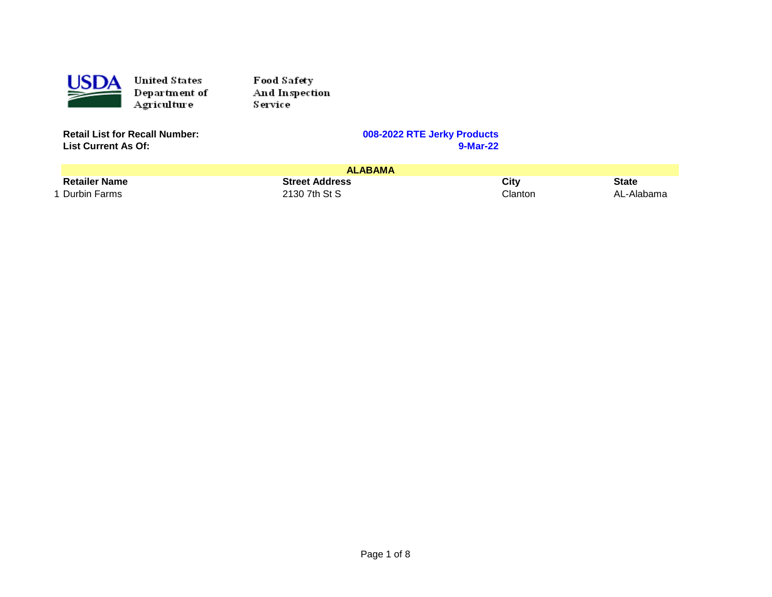<span id="page-1-0"></span>

Food Safety And Inspection Service

| <b>Retail List for Recall Number:</b> |  |
|---------------------------------------|--|
| <b>List Current As Of:</b>            |  |

|                           | <b>ALABAMA</b>        |         |            |
|---------------------------|-----------------------|---------|------------|
| <b>Retailer Name</b>      | <b>Street Address</b> | City    | State      |
| <sup>1</sup> Durbin Farms | 2130 7th St S         | Clanton | AL-Alabama |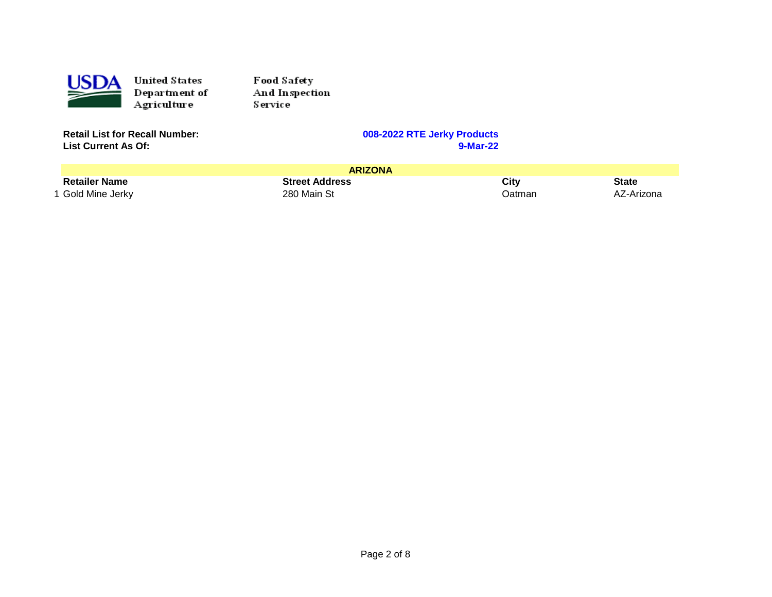

Food Safety And Inspection Service

| <b>Retail List for Recall Number:</b> |  |
|---------------------------------------|--|
| <b>List Current As Of:</b>            |  |

|                      | <b>ARIZONA</b>        |        |            |
|----------------------|-----------------------|--------|------------|
| <b>Retailer Name</b> | <b>Street Address</b> | City   | State      |
| 1 Gold Mine Jerky    | 280 Main St           | Datman | AZ-Arizona |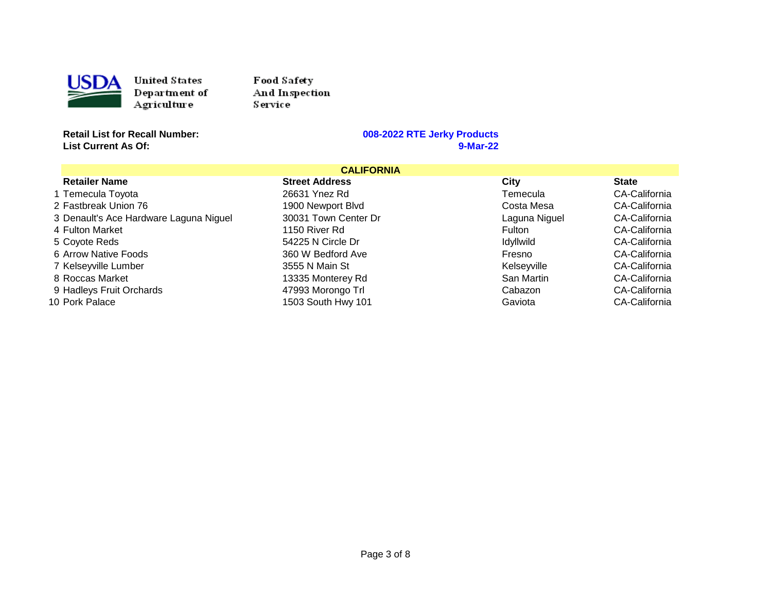

Food Safety And Inspection **Service** 

**Retail List for Recall Number: 008-2022 RTE Jerky Products List Current As Of:** 

|                                        | <b>CALIFORNIA</b>     |                  |                      |
|----------------------------------------|-----------------------|------------------|----------------------|
| <b>Retailer Name</b>                   | <b>Street Address</b> | City             | <b>State</b>         |
| 1 Temecula Toyota                      | 26631 Ynez Rd         | Temecula         | CA-California        |
| 2 Fastbreak Union 76                   | 1900 Newport Blvd     | Costa Mesa       | CA-California        |
| 3 Denault's Ace Hardware Laguna Niguel | 30031 Town Center Dr  | Laguna Niguel    | <b>CA-California</b> |
| 4 Fulton Market                        | 1150 River Rd         | Fulton           | CA-California        |
| 5 Coyote Reds                          | 54225 N Circle Dr     | <b>Idyllwild</b> | CA-California        |
| 6 Arrow Native Foods                   | 360 W Bedford Ave     | Fresno           | CA-California        |
| 7 Kelseyville Lumber                   | 3555 N Main St        | Kelseyville      | <b>CA-California</b> |
| 8 Roccas Market                        | 13335 Monterey Rd     | San Martin       | CA-California        |
| 9 Hadleys Fruit Orchards               | 47993 Morongo Trl     | Cabazon          | CA-California        |
| 10 Pork Palace                         | 1503 South Hwy 101    | Gaviota          | CA-California        |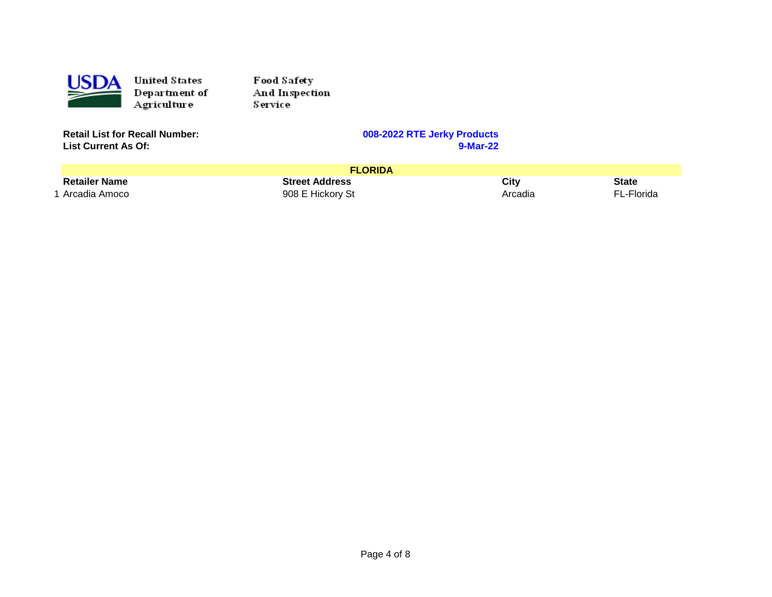

Food Safety And Inspection Service

| <b>Retail List for Recall Number:</b> |
|---------------------------------------|
| <b>List Current As Of:</b>            |

|                      | <b>FLORIDA</b>        |         |            |
|----------------------|-----------------------|---------|------------|
| <b>Retailer Name</b> | <b>Street Address</b> | City    | State      |
| * Arcadia Amoco      | 908 E Hickory St      | Arcadia | FL-Florida |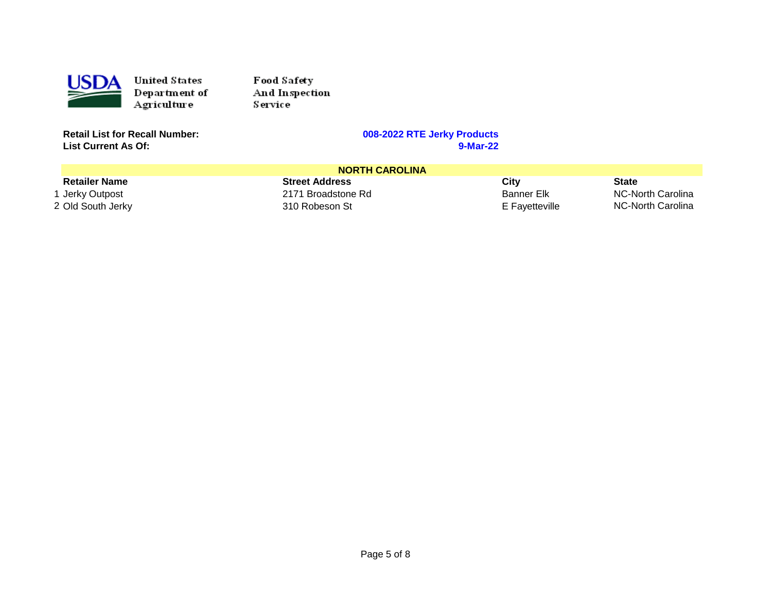

Food Safety And Inspection **Service** 

**Retail List for Recall Number: 008-2022 RTE Jerky Products List Current As Of:** 

|                      | <b>NORTH CAROLINA</b> |                |                   |
|----------------------|-----------------------|----------------|-------------------|
| <b>Retailer Name</b> | <b>Street Address</b> | City           | <b>State</b>      |
| 1 Jerky Outpost      | 2171 Broadstone Rd    | Banner Elk     | NC-North Carolina |
| 2 Old South Jerky    | 310 Robeson St        | E Favetteville | NC-North Carolina |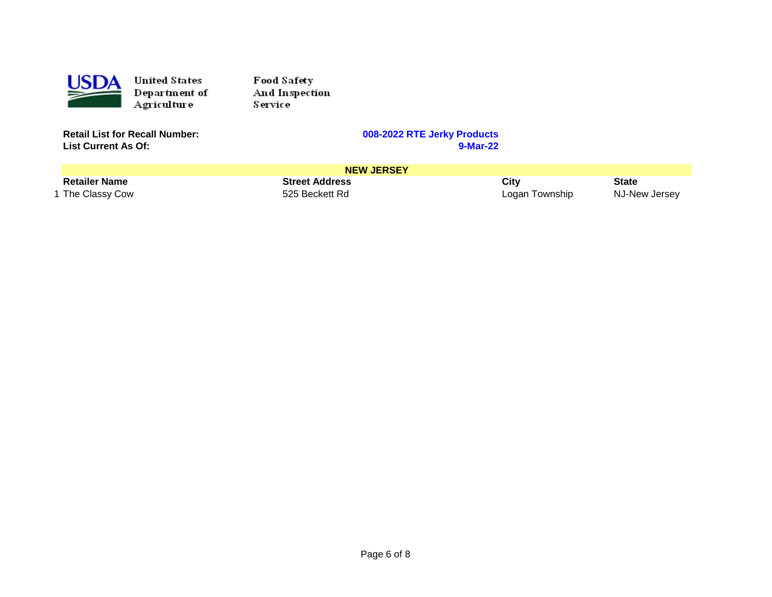

Food Safety And Inspection Service

| <b>Retail List for Recall Number:</b> |
|---------------------------------------|
| <b>List Current As Of:</b>            |

|                      | <b>NEW JERSEY</b>     |                |               |
|----------------------|-----------------------|----------------|---------------|
| <b>Retailer Name</b> | <b>Street Address</b> | City           | <b>State</b>  |
| 1 The Classy Cow     | 525 Beckett Rd        | Logan Township | NJ-New Jersey |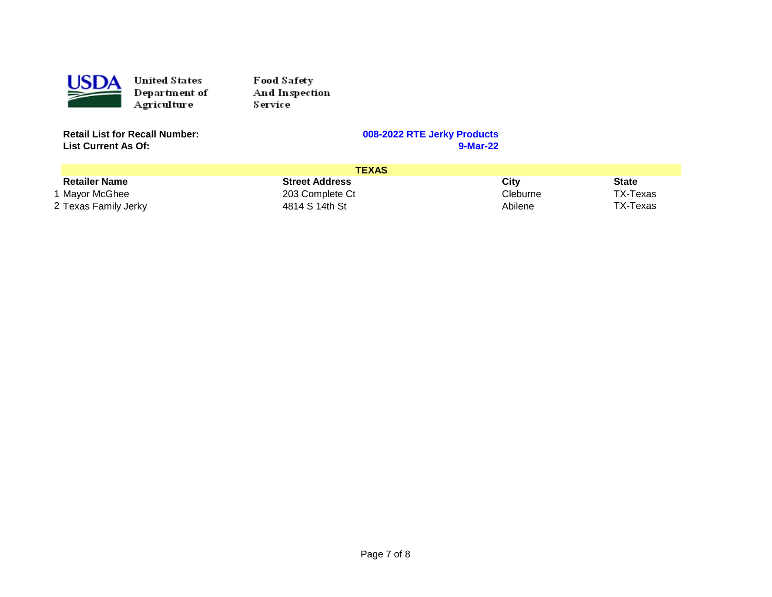

Food Safety And Inspection **Service** 

**Retail List for Recall Number: 008-2022 RTE Jerky Products List Current As Of:** 

|                      | <b>TEXAS</b>          |          |              |
|----------------------|-----------------------|----------|--------------|
| <b>Retailer Name</b> | <b>Street Address</b> | Citv     | <b>State</b> |
| 1 Mavor McGhee       | 203 Complete Ct       | Cleburne | TX-Texas     |
| 2 Texas Family Jerky | 4814 S 14th St        | Abilene  | TX-Texas     |